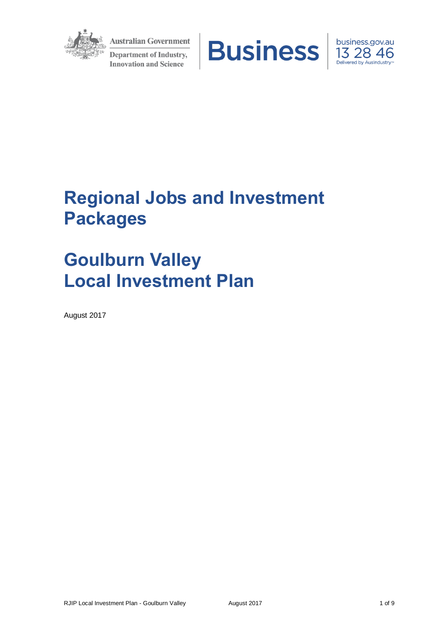

**Australian Government Department of Industry, Innovation and Science** 





# **Regional Jobs and Investment Packages**

# **Goulburn Valley Local Investment Plan**

August 2017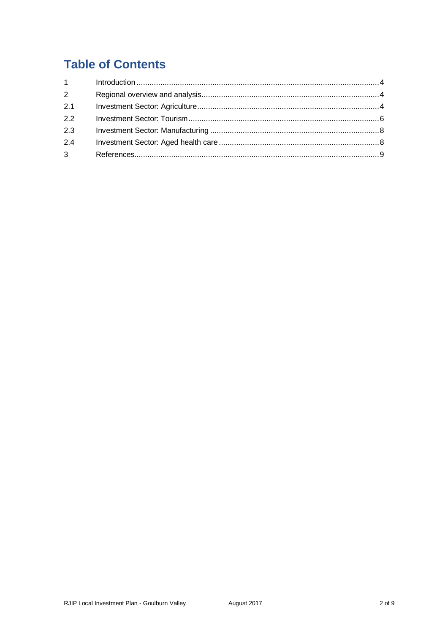## **Table of Contents**

| $1 \quad \blacksquare$ |  |
|------------------------|--|
| 2                      |  |
| 2.1                    |  |
| 22                     |  |
| 2.3                    |  |
| 2.4                    |  |
| 3 <sup>1</sup>         |  |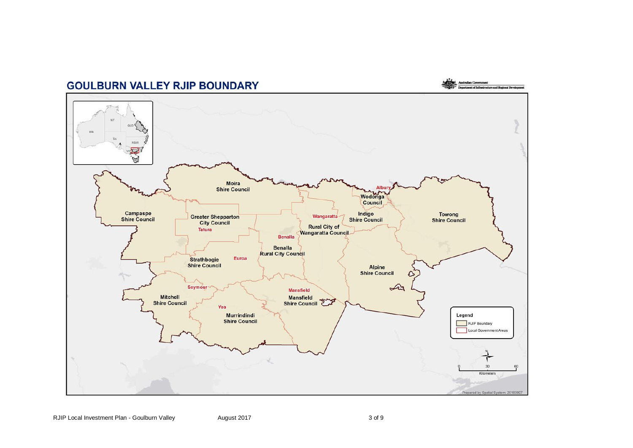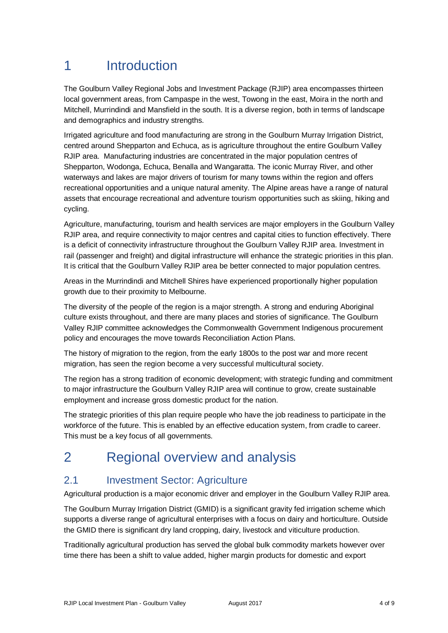# 1 Introduction

The Goulburn Valley Regional Jobs and Investment Package (RJIP) area encompasses thirteen local government areas, from Campaspe in the west, Towong in the east, Moira in the north and Mitchell, Murrindindi and Mansfield in the south. It is a diverse region, both in terms of landscape and demographics and industry strengths.

Irrigated agriculture and food manufacturing are strong in the Goulburn Murray Irrigation District, centred around Shepparton and Echuca, as is agriculture throughout the entire Goulburn Valley RJIP area. Manufacturing industries are concentrated in the major population centres of Shepparton, Wodonga, Echuca, Benalla and Wangaratta. The iconic Murray River, and other waterways and lakes are major drivers of tourism for many towns within the region and offers recreational opportunities and a unique natural amenity. The Alpine areas have a range of natural assets that encourage recreational and adventure tourism opportunities such as skiing, hiking and cycling.

Agriculture, manufacturing, tourism and health services are major employers in the Goulburn Valley RJIP area, and require connectivity to major centres and capital cities to function effectively. There is a deficit of connectivity infrastructure throughout the Goulburn Valley RJIP area. Investment in rail (passenger and freight) and digital infrastructure will enhance the strategic priorities in this plan. It is critical that the Goulburn Valley RJIP area be better connected to major population centres.

Areas in the Murrindindi and Mitchell Shires have experienced proportionally higher population growth due to their proximity to Melbourne.

The diversity of the people of the region is a major strength. A strong and enduring Aboriginal culture exists throughout, and there are many places and stories of significance. The Goulburn Valley RJIP committee acknowledges the Commonwealth Government Indigenous procurement policy and encourages the move towards Reconciliation Action Plans.

The history of migration to the region, from the early 1800s to the post war and more recent migration, has seen the region become a very successful multicultural society.

The region has a strong tradition of economic development; with strategic funding and commitment to major infrastructure the Goulburn Valley RJIP area will continue to grow, create sustainable employment and increase gross domestic product for the nation.

The strategic priorities of this plan require people who have the job readiness to participate in the workforce of the future. This is enabled by an effective education system, from cradle to career. This must be a key focus of all governments.

# 2 Regional overview and analysis

### 2.1 Investment Sector: Agriculture

Agricultural production is a major economic driver and employer in the Goulburn Valley RJIP area.

The Goulburn Murray Irrigation District (GMID) is a significant gravity fed irrigation scheme which supports a diverse range of agricultural enterprises with a focus on dairy and horticulture. Outside the GMID there is significant dry land cropping, dairy, livestock and viticulture production.

Traditionally agricultural production has served the global bulk commodity markets however over time there has been a shift to value added, higher margin products for domestic and export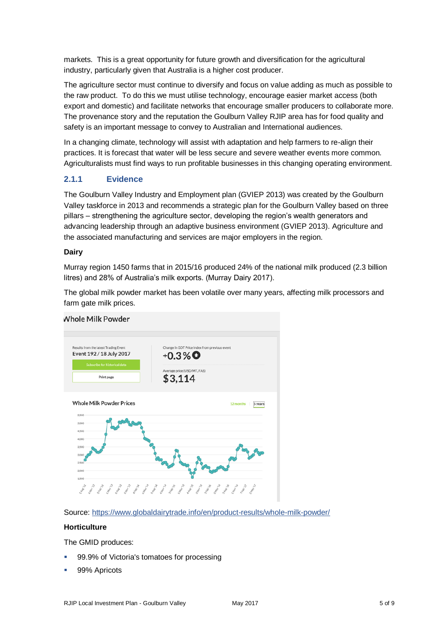markets. This is a great opportunity for future growth and diversification for the agricultural industry, particularly given that Australia is a higher cost producer.

The agriculture sector must continue to diversify and focus on value adding as much as possible to the raw product. To do this we must utilise technology, encourage easier market access (both export and domestic) and facilitate networks that encourage smaller producers to collaborate more. The provenance story and the reputation the Goulburn Valley RJIP area has for food quality and safety is an important message to convey to Australian and International audiences.

In a changing climate, technology will assist with adaptation and help farmers to re-align their practices. It is forecast that water will be less secure and severe weather events more common. Agriculturalists must find ways to run profitable businesses in this changing operating environment.

#### **2.1.1 Evidence**

The Goulburn Valley Industry and Employment plan (GVIEP 2013) was created by the Goulburn Valley taskforce in 2013 and recommends a strategic plan for the Goulburn Valley based on three pillars – strengthening the agriculture sector, developing the region's wealth generators and advancing leadership through an adaptive business environment (GVIEP 2013). Agriculture and the associated manufacturing and services are major employers in the region.

#### **Dairy**

Murray region 1450 farms that in 2015/16 produced 24% of the national milk produced (2.3 billion litres) and 28% of Australia's milk exports. (Murray Dairy 2017).

The global milk powder market has been volatile over many years, affecting milk processors and farm gate milk prices.



#### *Nhole Milk Powder*

Source:<https://www.globaldairytrade.info/en/product-results/whole-milk-powder/>

#### **Horticulture**

The GMID produces:

- 99.9% of Victoria's tomatoes for processing
- 99% Apricots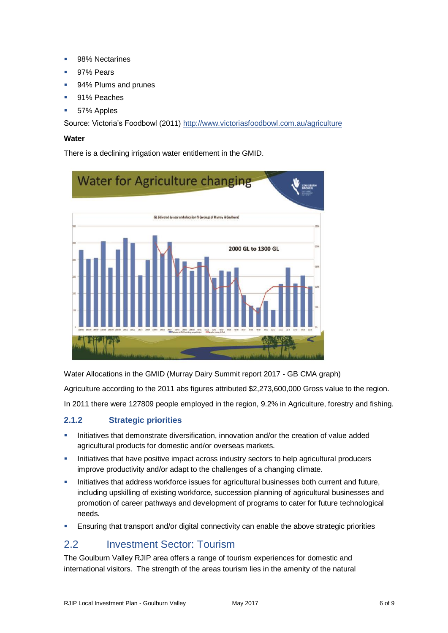- 98% Nectarines
- 97% Pears
- 94% Plums and prunes
- 91% Peaches
- 57% Apples

Source: Victoria's Foodbowl (2011)<http://www.victoriasfoodbowl.com.au/agriculture>

#### **Water**

There is a declining irrigation water entitlement in the GMID.



Water Allocations in the GMID (Murray Dairy Summit report 2017 - GB CMA graph)

Agriculture according to the 2011 abs figures attributed \$2,273,600,000 Gross value to the region.

In 2011 there were 127809 people employed in the region, 9.2% in Agriculture, forestry and fishing.

#### **2.1.2 Strategic priorities**

- Initiatives that demonstrate diversification, innovation and/or the creation of value added agricultural products for domestic and/or overseas markets.
- Initiatives that have positive impact across industry sectors to help agricultural producers improve productivity and/or adapt to the challenges of a changing climate.
- Initiatives that address workforce issues for agricultural businesses both current and future, including upskilling of existing workforce, succession planning of agricultural businesses and promotion of career pathways and development of programs to cater for future technological needs.
- **Ensuring that transport and/or digital connectivity can enable the above strategic priorities**

### 2.2 Investment Sector: Tourism

The Goulburn Valley RJIP area offers a range of tourism experiences for domestic and international visitors. The strength of the areas tourism lies in the amenity of the natural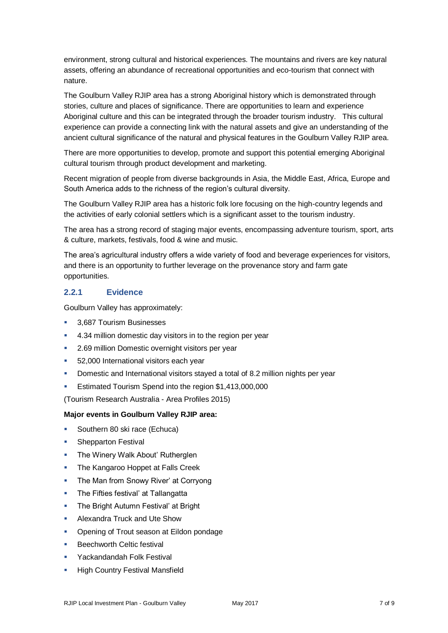environment, strong cultural and historical experiences. The mountains and rivers are key natural assets, offering an abundance of recreational opportunities and eco-tourism that connect with nature.

The Goulburn Valley RJIP area has a strong Aboriginal history which is demonstrated through stories, culture and places of significance. There are opportunities to learn and experience Aboriginal culture and this can be integrated through the broader tourism industry. This cultural experience can provide a connecting link with the natural assets and give an understanding of the ancient cultural significance of the natural and physical features in the Goulburn Valley RJIP area.

There are more opportunities to develop, promote and support this potential emerging Aboriginal cultural tourism through product development and marketing.

Recent migration of people from diverse backgrounds in Asia, the Middle East, Africa, Europe and South America adds to the richness of the region's cultural diversity.

The Goulburn Valley RJIP area has a historic folk lore focusing on the high-country legends and the activities of early colonial settlers which is a significant asset to the tourism industry.

The area has a strong record of staging major events, encompassing adventure tourism, sport, arts & culture, markets, festivals, food & wine and music.

The area's agricultural industry offers a wide variety of food and beverage experiences for visitors, and there is an opportunity to further leverage on the provenance story and farm gate opportunities.

#### **2.2.1 Evidence**

Goulburn Valley has approximately:

- 3.687 Tourism Businesses
- 4.34 million domestic day visitors in to the region per year
- **2.69 million Domestic overnight visitors per year**
- 52,000 International visitors each year
- Domestic and International visitors stayed a total of 8.2 million nights per year
- Estimated Tourism Spend into the region \$1,413,000,000

(Tourism Research Australia - Area Profiles 2015)

#### **Major events in Goulburn Valley RJIP area:**

- Southern 80 ski race (Echuca)
- **Shepparton Festival**
- **The Winery Walk About' Rutherglen**
- **The Kangaroo Hoppet at Falls Creek**
- The Man from Snowy River' at Corryong
- **The Fifties festival' at Tallangatta**
- **The Bright Autumn Festival' at Bright**
- Alexandra Truck and Ute Show
- Opening of Trout season at Eildon pondage
- Beechworth Celtic festival
- Yackandandah Folk Festival
- High Country Festival Mansfield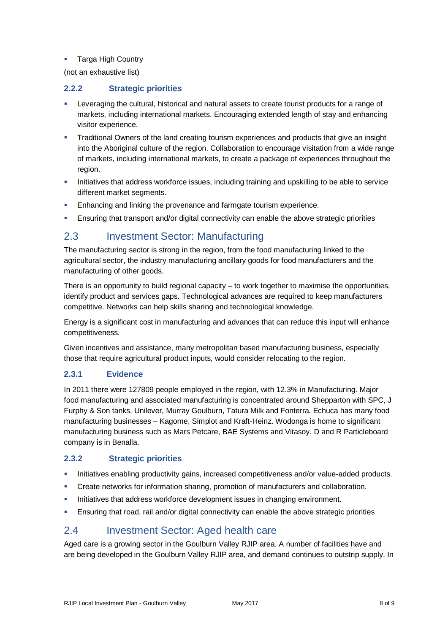#### **Targa High Country**

(not an exhaustive list)

#### **2.2.2 Strategic priorities**

- Leveraging the cultural, historical and natural assets to create tourist products for a range of markets, including international markets. Encouraging extended length of stay and enhancing visitor experience.
- Traditional Owners of the land creating tourism experiences and products that give an insight into the Aboriginal culture of the region. Collaboration to encourage visitation from a wide range of markets, including international markets, to create a package of experiences throughout the region.
- Initiatives that address workforce issues, including training and upskilling to be able to service different market segments.
- **Enhancing and linking the provenance and farmgate tourism experience.**
- **Ensuring that transport and/or digital connectivity can enable the above strategic priorities**

### 2.3 Investment Sector: Manufacturing

The manufacturing sector is strong in the region, from the food manufacturing linked to the agricultural sector, the industry manufacturing ancillary goods for food manufacturers and the manufacturing of other goods.

There is an opportunity to build regional capacity – to work together to maximise the opportunities, identify product and services gaps. Technological advances are required to keep manufacturers competitive. Networks can help skills sharing and technological knowledge.

Energy is a significant cost in manufacturing and advances that can reduce this input will enhance competitiveness.

Given incentives and assistance, many metropolitan based manufacturing business, especially those that require agricultural product inputs, would consider relocating to the region.

#### **2.3.1 Evidence**

In 2011 there were 127809 people employed in the region, with 12.3% in Manufacturing. Major food manufacturing and associated manufacturing is concentrated around Shepparton with SPC, J Furphy & Son tanks, Unilever, Murray Goulburn, Tatura Milk and Fonterra. Echuca has many food manufacturing businesses – Kagome, Simplot and Kraft-Heinz. Wodonga is home to significant manufacturing business such as Mars Petcare, BAE Systems and Vitasoy. D and R Particleboard company is in Benalla.

#### **2.3.2 Strategic priorities**

- Initiatives enabling productivity gains, increased competitiveness and/or value-added products.
- **Create networks for information sharing, promotion of manufacturers and collaboration.**
- Initiatives that address workforce development issues in changing environment.
- **Ensuring that road, rail and/or digital connectivity can enable the above strategic priorities**

### 2.4 Investment Sector: Aged health care

Aged care is a growing sector in the Goulburn Valley RJIP area. A number of facilities have and are being developed in the Goulburn Valley RJIP area, and demand continues to outstrip supply. In